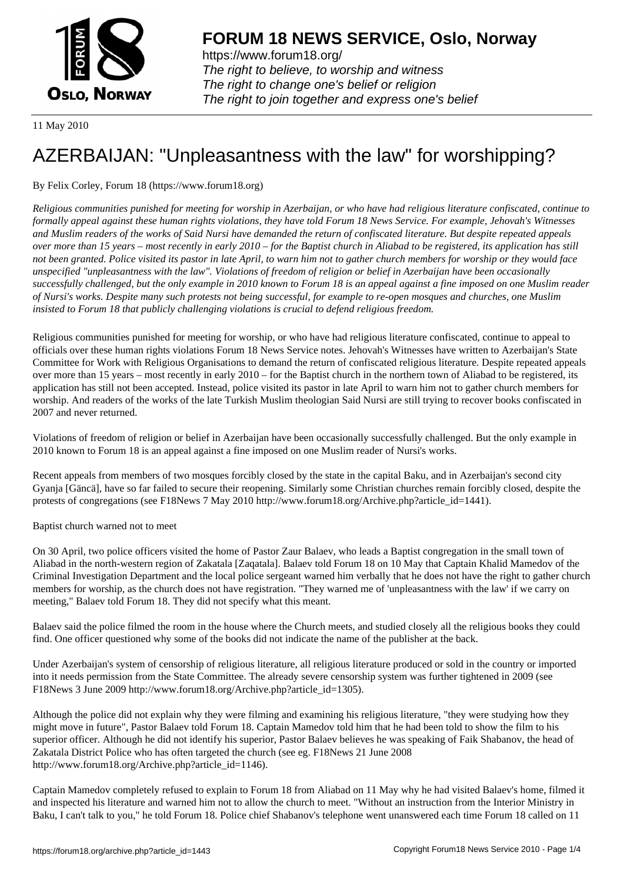

https://www.forum18.org/ The right to believe, to worship and witness The right to change one's belief or religion [The right to join together a](https://www.forum18.org/)nd express one's belief

11 May 2010

# [AZERBAIJAN: "](https://www.forum18.org)Unpleasantness with the law" for worshipping?

## By Felix Corley, Forum 18 (https://www.forum18.org)

*Religious communities punished for meeting for worship in Azerbaijan, or who have had religious literature confiscated, continue to formally appeal against these human rights violations, they have told Forum 18 News Service. For example, Jehovah's Witnesses and Muslim readers of the works of Said Nursi have demanded the return of confiscated literature. But despite repeated appeals over more than 15 years – most recently in early 2010 – for the Baptist church in Aliabad to be registered, its application has still not been granted. Police visited its pastor in late April, to warn him not to gather church members for worship or they would face unspecified "unpleasantness with the law". Violations of freedom of religion or belief in Azerbaijan have been occasionally successfully challenged, but the only example in 2010 known to Forum 18 is an appeal against a fine imposed on one Muslim reader of Nursi's works. Despite many such protests not being successful, for example to re-open mosques and churches, one Muslim insisted to Forum 18 that publicly challenging violations is crucial to defend religious freedom.*

Religious communities punished for meeting for worship, or who have had religious literature confiscated, continue to appeal to officials over these human rights violations Forum 18 News Service notes. Jehovah's Witnesses have written to Azerbaijan's State Committee for Work with Religious Organisations to demand the return of confiscated religious literature. Despite repeated appeals over more than 15 years – most recently in early 2010 – for the Baptist church in the northern town of Aliabad to be registered, its application has still not been accepted. Instead, police visited its pastor in late April to warn him not to gather church members for worship. And readers of the works of the late Turkish Muslim theologian Said Nursi are still trying to recover books confiscated in 2007 and never returned.

Violations of freedom of religion or belief in Azerbaijan have been occasionally successfully challenged. But the only example in 2010 known to Forum 18 is an appeal against a fine imposed on one Muslim reader of Nursi's works.

Recent appeals from members of two mosques forcibly closed by the state in the capital Baku, and in Azerbaijan's second city Gyanja [Gäncä], have so far failed to secure their reopening. Similarly some Christian churches remain forcibly closed, despite the protests of congregations (see F18News 7 May 2010 http://www.forum18.org/Archive.php?article\_id=1441).

Baptist church warned not to meet

On 30 April, two police officers visited the home of Pastor Zaur Balaev, who leads a Baptist congregation in the small town of Aliabad in the north-western region of Zakatala [Zaqatala]. Balaev told Forum 18 on 10 May that Captain Khalid Mamedov of the Criminal Investigation Department and the local police sergeant warned him verbally that he does not have the right to gather church members for worship, as the church does not have registration. "They warned me of 'unpleasantness with the law' if we carry on meeting," Balaev told Forum 18. They did not specify what this meant.

Balaev said the police filmed the room in the house where the Church meets, and studied closely all the religious books they could find. One officer questioned why some of the books did not indicate the name of the publisher at the back.

Under Azerbaijan's system of censorship of religious literature, all religious literature produced or sold in the country or imported into it needs permission from the State Committee. The already severe censorship system was further tightened in 2009 (see F18News 3 June 2009 http://www.forum18.org/Archive.php?article\_id=1305).

Although the police did not explain why they were filming and examining his religious literature, "they were studying how they might move in future", Pastor Balaev told Forum 18. Captain Mamedov told him that he had been told to show the film to his superior officer. Although he did not identify his superior, Pastor Balaev believes he was speaking of Faik Shabanov, the head of Zakatala District Police who has often targeted the church (see eg. F18News 21 June 2008 http://www.forum18.org/Archive.php?article\_id=1146).

Captain Mamedov completely refused to explain to Forum 18 from Aliabad on 11 May why he had visited Balaev's home, filmed it and inspected his literature and warned him not to allow the church to meet. "Without an instruction from the Interior Ministry in Baku, I can't talk to you," he told Forum 18. Police chief Shabanov's telephone went unanswered each time Forum 18 called on 11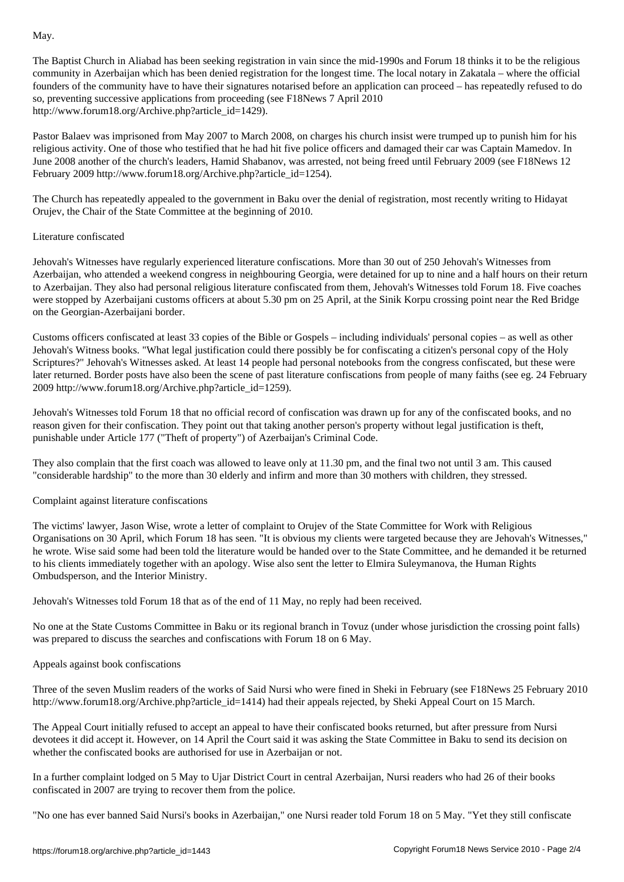The Baptist Church in Aliabad has been seeking registration in vain since the mid-1990s and Forum 18 thinks it to be the religious community in Azerbaijan which has been denied registration for the longest time. The local notary in Zakatala – where the official founders of the community have to have their signatures notarised before an application can proceed – has repeatedly refused to do so, preventing successive applications from proceeding (see F18News 7 April 2010 http://www.forum18.org/Archive.php?article\_id=1429).

Pastor Balaev was imprisoned from May 2007 to March 2008, on charges his church insist were trumped up to punish him for his religious activity. One of those who testified that he had hit five police officers and damaged their car was Captain Mamedov. In June 2008 another of the church's leaders, Hamid Shabanov, was arrested, not being freed until February 2009 (see F18News 12 February 2009 http://www.forum18.org/Archive.php?article\_id=1254).

The Church has repeatedly appealed to the government in Baku over the denial of registration, most recently writing to Hidayat Orujev, the Chair of the State Committee at the beginning of 2010.

#### Literature confiscated

Jehovah's Witnesses have regularly experienced literature confiscations. More than 30 out of 250 Jehovah's Witnesses from Azerbaijan, who attended a weekend congress in neighbouring Georgia, were detained for up to nine and a half hours on their return to Azerbaijan. They also had personal religious literature confiscated from them, Jehovah's Witnesses told Forum 18. Five coaches were stopped by Azerbaijani customs officers at about 5.30 pm on 25 April, at the Sinik Korpu crossing point near the Red Bridge on the Georgian-Azerbaijani border.

Customs officers confiscated at least 33 copies of the Bible or Gospels – including individuals' personal copies – as well as other Jehovah's Witness books. "What legal justification could there possibly be for confiscating a citizen's personal copy of the Holy Scriptures?" Jehovah's Witnesses asked. At least 14 people had personal notebooks from the congress confiscated, but these were later returned. Border posts have also been the scene of past literature confiscations from people of many faiths (see eg. 24 February 2009 http://www.forum18.org/Archive.php?article\_id=1259).

Jehovah's Witnesses told Forum 18 that no official record of confiscation was drawn up for any of the confiscated books, and no reason given for their confiscation. They point out that taking another person's property without legal justification is theft, punishable under Article 177 ("Theft of property") of Azerbaijan's Criminal Code.

They also complain that the first coach was allowed to leave only at 11.30 pm, and the final two not until 3 am. This caused "considerable hardship" to the more than 30 elderly and infirm and more than 30 mothers with children, they stressed.

### Complaint against literature confiscations

The victims' lawyer, Jason Wise, wrote a letter of complaint to Orujev of the State Committee for Work with Religious Organisations on 30 April, which Forum 18 has seen. "It is obvious my clients were targeted because they are Jehovah's Witnesses," he wrote. Wise said some had been told the literature would be handed over to the State Committee, and he demanded it be returned to his clients immediately together with an apology. Wise also sent the letter to Elmira Suleymanova, the Human Rights Ombudsperson, and the Interior Ministry.

Jehovah's Witnesses told Forum 18 that as of the end of 11 May, no reply had been received.

No one at the State Customs Committee in Baku or its regional branch in Tovuz (under whose jurisdiction the crossing point falls) was prepared to discuss the searches and confiscations with Forum 18 on 6 May.

#### Appeals against book confiscations

Three of the seven Muslim readers of the works of Said Nursi who were fined in Sheki in February (see F18News 25 February 2010 http://www.forum18.org/Archive.php?article\_id=1414) had their appeals rejected, by Sheki Appeal Court on 15 March.

The Appeal Court initially refused to accept an appeal to have their confiscated books returned, but after pressure from Nursi devotees it did accept it. However, on 14 April the Court said it was asking the State Committee in Baku to send its decision on whether the confiscated books are authorised for use in Azerbaijan or not.

In a further complaint lodged on 5 May to Ujar District Court in central Azerbaijan, Nursi readers who had 26 of their books confiscated in 2007 are trying to recover them from the police.

"No one has ever banned Said Nursi's books in Azerbaijan," one Nursi reader told Forum 18 on 5 May. "Yet they still confiscate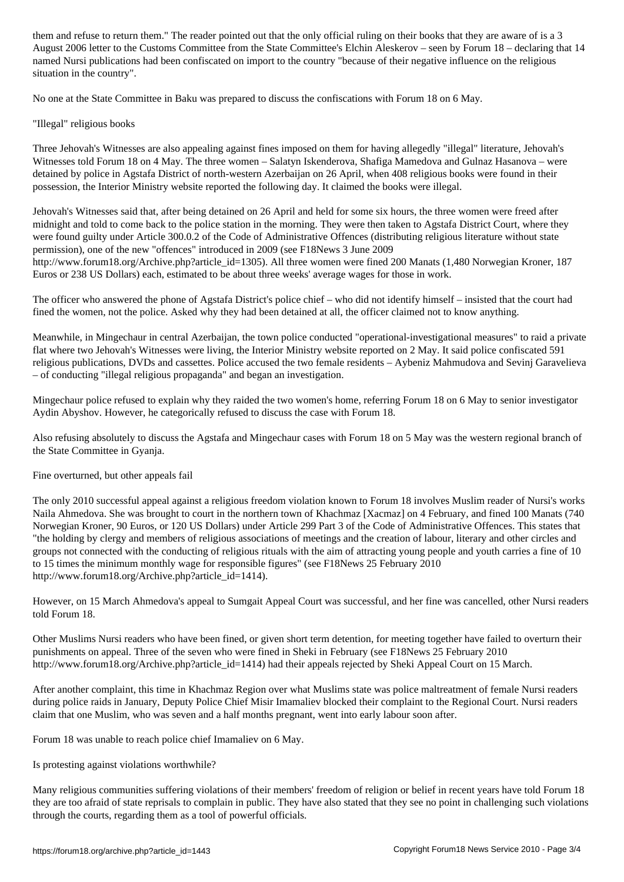August 2006 letter to the Customs Committee from the State Committee's Elchin Aleskerov – seen by Forum 18 – declaring that 14 named Nursi publications had been confiscated on import to the country "because of their negative influence on the religious situation in the country".

No one at the State Committee in Baku was prepared to discuss the confiscations with Forum 18 on 6 May.

"Illegal" religious books

Three Jehovah's Witnesses are also appealing against fines imposed on them for having allegedly "illegal" literature, Jehovah's Witnesses told Forum 18 on 4 May. The three women – Salatyn Iskenderova, Shafiga Mamedova and Gulnaz Hasanova – were detained by police in Agstafa District of north-western Azerbaijan on 26 April, when 408 religious books were found in their possession, the Interior Ministry website reported the following day. It claimed the books were illegal.

Jehovah's Witnesses said that, after being detained on 26 April and held for some six hours, the three women were freed after midnight and told to come back to the police station in the morning. They were then taken to Agstafa District Court, where they were found guilty under Article 300.0.2 of the Code of Administrative Offences (distributing religious literature without state permission), one of the new "offences" introduced in 2009 (see F18News 3 June 2009 http://www.forum18.org/Archive.php?article\_id=1305). All three women were fined 200 Manats (1,480 Norwegian Kroner, 187 Euros or 238 US Dollars) each, estimated to be about three weeks' average wages for those in work.

The officer who answered the phone of Agstafa District's police chief – who did not identify himself – insisted that the court had fined the women, not the police. Asked why they had been detained at all, the officer claimed not to know anything.

Meanwhile, in Mingechaur in central Azerbaijan, the town police conducted "operational-investigational measures" to raid a private flat where two Jehovah's Witnesses were living, the Interior Ministry website reported on 2 May. It said police confiscated 591 religious publications, DVDs and cassettes. Police accused the two female residents – Aybeniz Mahmudova and Sevinj Garavelieva – of conducting "illegal religious propaganda" and began an investigation.

Mingechaur police refused to explain why they raided the two women's home, referring Forum 18 on 6 May to senior investigator Aydin Abyshov. However, he categorically refused to discuss the case with Forum 18.

Also refusing absolutely to discuss the Agstafa and Mingechaur cases with Forum 18 on 5 May was the western regional branch of the State Committee in Gyanja.

Fine overturned, but other appeals fail

The only 2010 successful appeal against a religious freedom violation known to Forum 18 involves Muslim reader of Nursi's works Naila Ahmedova. She was brought to court in the northern town of Khachmaz [Xacmaz] on 4 February, and fined 100 Manats (740 Norwegian Kroner, 90 Euros, or 120 US Dollars) under Article 299 Part 3 of the Code of Administrative Offences. This states that "the holding by clergy and members of religious associations of meetings and the creation of labour, literary and other circles and groups not connected with the conducting of religious rituals with the aim of attracting young people and youth carries a fine of 10 to 15 times the minimum monthly wage for responsible figures" (see F18News 25 February 2010 http://www.forum18.org/Archive.php?article\_id=1414).

However, on 15 March Ahmedova's appeal to Sumgait Appeal Court was successful, and her fine was cancelled, other Nursi readers told Forum 18.

Other Muslims Nursi readers who have been fined, or given short term detention, for meeting together have failed to overturn their punishments on appeal. Three of the seven who were fined in Sheki in February (see F18News 25 February 2010 http://www.forum18.org/Archive.php?article\_id=1414) had their appeals rejected by Sheki Appeal Court on 15 March.

After another complaint, this time in Khachmaz Region over what Muslims state was police maltreatment of female Nursi readers during police raids in January, Deputy Police Chief Misir Imamaliev blocked their complaint to the Regional Court. Nursi readers claim that one Muslim, who was seven and a half months pregnant, went into early labour soon after.

Forum 18 was unable to reach police chief Imamaliev on 6 May.

Is protesting against violations worthwhile?

Many religious communities suffering violations of their members' freedom of religion or belief in recent years have told Forum 18 they are too afraid of state reprisals to complain in public. They have also stated that they see no point in challenging such violations through the courts, regarding them as a tool of powerful officials.